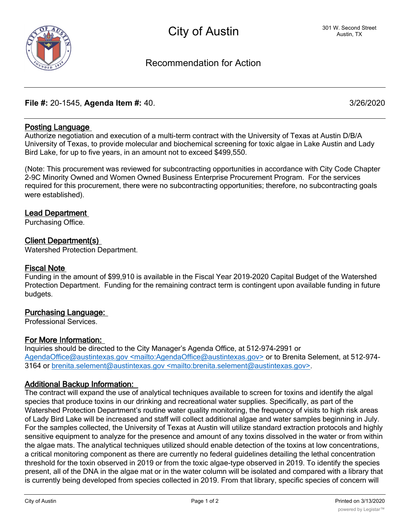# Recommendation for Action

# **File #:** 20-1545, **Agenda Item #:** 40. 3/26/2020

# **Posting Language**

Authorize negotiation and execution of a multi-term contract with the University of Texas at Austin D/B/A University of Texas, to provide molecular and biochemical screening for toxic algae in Lake Austin and Lady Bird Lake, for up to five years, in an amount not to exceed \$499,550.

(Note: This procurement was reviewed for subcontracting opportunities in accordance with City Code Chapter 2-9C Minority Owned and Women Owned Business Enterprise Procurement Program. For the services required for this procurement, there were no subcontracting opportunities; therefore, no subcontracting goals were established).

## **Lead Department**

Purchasing Office.

## **Client Department(s)**

Watershed Protection Department.

#### **Fiscal Note**

Funding in the amount of \$99,910 is available in the Fiscal Year 2019-2020 Capital Budget of the Watershed Protection Department. Funding for the remaining contract term is contingent upon available funding in future budgets.

## **Purchasing Language:**

Professional Services.

## **For More Information:**

Inquiries should be directed to the City Manager's Agenda Office, at 512-974-2991 or AgendaOffice@austintexas.gov <mailto:AgendaOffice@austintexas.gov> or to Brenita Selement, at 512-974-3164 or brenita.selement@austintexas.gov <mailto:brenita.selement@austintexas.gov>.

#### **Additional Backup Information:**

The contract will expand the use of analytical techniques available to screen for toxins and identify the algal species that produce toxins in our drinking and recreational water supplies. Specifically, as part of the Watershed Protection Department's routine water quality monitoring, the frequency of visits to high risk areas of Lady Bird Lake will be increased and staff will collect additional algae and water samples beginning in July. For the samples collected, the University of Texas at Austin will utilize standard extraction protocols and highly sensitive equipment to analyze for the presence and amount of any toxins dissolved in the water or from within the algae mats. The analytical techniques utilized should enable detection of the toxins at low concentrations, a critical monitoring component as there are currently no federal guidelines detailing the lethal concentration threshold for the toxin observed in 2019 or from the toxic algae-type observed in 2019. To identify the species present, all of the DNA in the algae mat or in the water column will be isolated and compared with a library that is currently being developed from species collected in 2019. From that library, specific species of concern will